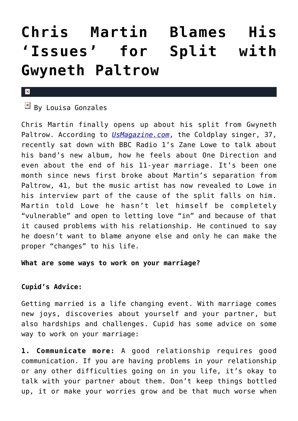# **[Chris Martin Blames His](https://cupidspulse.com/74143/chris-martin-blames-his-issues-split-gwyneth-paltrow/) ['Issues' for Split with](https://cupidspulse.com/74143/chris-martin-blames-his-issues-split-gwyneth-paltrow/) [Gwyneth Paltrow](https://cupidspulse.com/74143/chris-martin-blames-his-issues-split-gwyneth-paltrow/)**

#### $\overline{\mathbf{x}}$

## $\overline{B}$  By Louisa Gonzales

Chris Martin finally opens up about his split from Gwyneth Paltrow. According to *[UsMagazine.com](http://www.usmagazine.com/celebrity-news/news/chris-martin-on-gwyneth-paltrow-split-my-own-issues-contributed-2014284)*, the Coldplay singer, 37, recently sat down with BBC Radio 1's Zane Lowe to talk about his band's new album, how he feels about One Direction and even about the end of his 11-year marriage. It's been one month since news first broke about Martin's separation from Paltrow, 41, but the music artist has now revealed to Lowe in his interview part of the cause of the split falls on him. Martin told Lowe he hasn't let himself be completely "vulnerable" and open to letting love "in" and because of that it caused problems with his relationship. He continued to say he doesn't want to blame anyone else and only he can make the proper "changes" to his life.

### **What are some ways to work on your marriage?**

## **Cupid's Advice:**

Getting married is a life changing event. With marriage comes new joys, discoveries about yourself and your partner, but also hardships and challenges. Cupid has some advice on some way to work on your marriage:

**1. Communicate more:** A good relationship requires good communication. If you are having problems in your relationship or any other difficulties going on in you life, it's okay to talk with your partner about them. Don't keep things bottled up, it or make your worries grow and be that much worse when